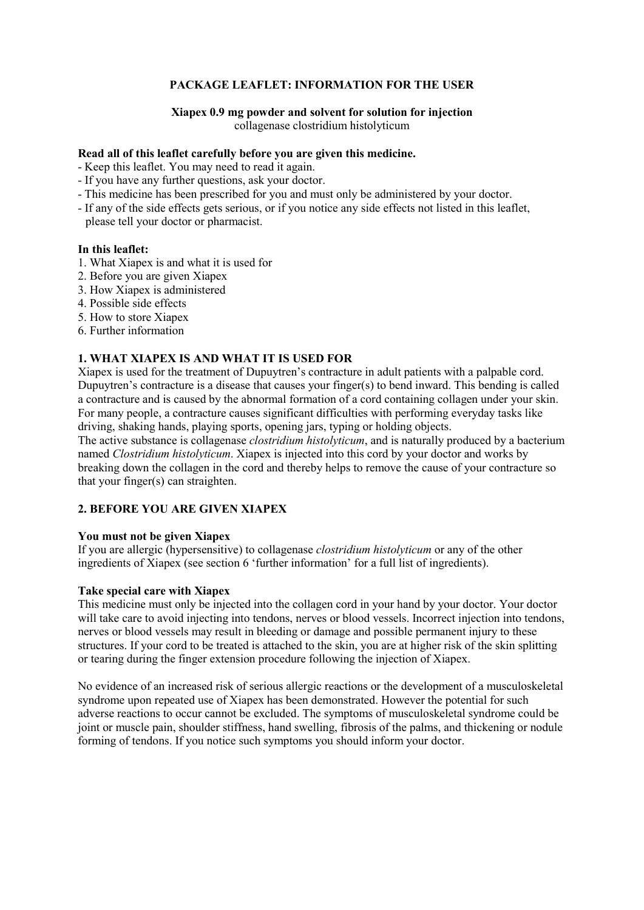### **PACKAGE LEAFLET: INFORMATION FOR THE USER**

# **Xiapex 0.9 mg powder and solvent for solution for injection**

collagenase clostridium histolyticum

### **Read all of this leaflet carefully before you are given this medicine.**

- Keep this leaflet. You may need to read it again.
- If you have any further questions, ask your doctor.
- This medicine has been prescribed for you and must only be administered by your doctor.
- If any of the side effects gets serious, or if you notice any side effects not listed in this leaflet, please tell your doctor or pharmacist.

#### **In this leaflet:**

- 1. What Xiapex is and what it is used for
- 2. Before you are given Xiapex
- 3. How Xiapex is administered
- 4. Possible side effects
- 5. How to store Xiapex
- 6. Further information

### **1. WHAT XIAPEX IS AND WHAT IT IS USED FOR**

Xiapex is used for the treatment of Dupuytren's contracture in adult patients with a palpable cord. Dupuytren's contracture is a disease that causes your finger(s) to bend inward. This bending is called a contracture and is caused by the abnormal formation of a cord containing collagen under your skin. For many people, a contracture causes significant difficulties with performing everyday tasks like driving, shaking hands, playing sports, opening jars, typing or holding objects.

The active substance is collagenase *clostridium histolyticum*, and is naturally produced by a bacterium named *Clostridium histolyticum*. Xiapex is injected into this cord by your doctor and works by breaking down the collagen in the cord and thereby helps to remove the cause of your contracture so that your finger(s) can straighten.

# **2. BEFORE YOU ARE GIVEN XIAPEX**

#### **You must not be given Xiapex**

If you are allergic (hypersensitive) to collagenase *clostridium histolyticum* or any of the other ingredients of Xiapex (see section 6 'further information' for a full list of ingredients).

#### **Take special care with Xiapex**

This medicine must only be injected into the collagen cord in your hand by your doctor. Your doctor will take care to avoid injecting into tendons, nerves or blood vessels. Incorrect injection into tendons, nerves or blood vessels may result in bleeding or damage and possible permanent injury to these structures. If your cord to be treated is attached to the skin, you are at higher risk of the skin splitting or tearing during the finger extension procedure following the injection of Xiapex.

No evidence of an increased risk of serious allergic reactions or the development of a musculoskeletal syndrome upon repeated use of Xiapex has been demonstrated. However the potential for such adverse reactions to occur cannot be excluded. The symptoms of musculoskeletal syndrome could be joint or muscle pain, shoulder stiffness, hand swelling, fibrosis of the palms, and thickening or nodule forming of tendons. If you notice such symptoms you should inform your doctor.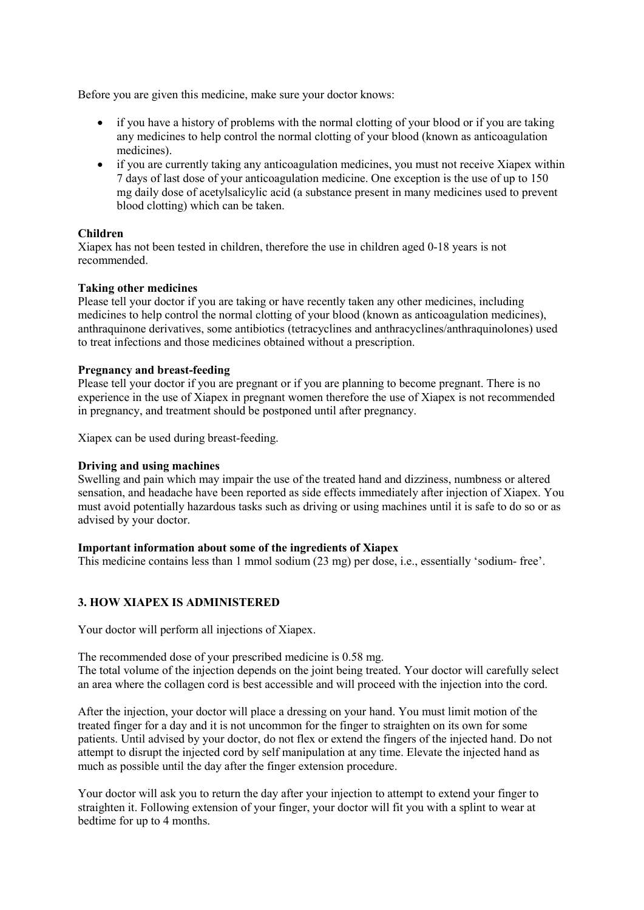Before you are given this medicine, make sure your doctor knows:

- if you have a history of problems with the normal clotting of your blood or if you are taking any medicines to help control the normal clotting of your blood (known as anticoagulation medicines).
- if you are currently taking any anticoagulation medicines, you must not receive Xiapex within 7 days of last dose of your anticoagulation medicine. One exception is the use of up to 150 mg daily dose of acetylsalicylic acid (a substance present in many medicines used to prevent blood clotting) which can be taken.

### **Children**

Xiapex has not been tested in children, therefore the use in children aged 0-18 years is not recommended.

### **Taking other medicines**

Please tell your doctor if you are taking or have recently taken any other medicines, including medicines to help control the normal clotting of your blood (known as anticoagulation medicines), anthraquinone derivatives, some antibiotics (tetracyclines and anthracyclines/anthraquinolones) used to treat infections and those medicines obtained without a prescription.

### **Pregnancy and breast-feeding**

Please tell your doctor if you are pregnant or if you are planning to become pregnant. There is no experience in the use of Xiapex in pregnant women therefore the use of Xiapex is not recommended in pregnancy, and treatment should be postponed until after pregnancy.

Xiapex can be used during breast-feeding.

#### **Driving and using machines**

Swelling and pain which may impair the use of the treated hand and dizziness, numbness or altered sensation, and headache have been reported as side effects immediately after injection of Xiapex. You must avoid potentially hazardous tasks such as driving or using machines until it is safe to do so or as advised by your doctor.

#### **Important information about some of the ingredients of Xiapex**

This medicine contains less than 1 mmol sodium (23 mg) per dose, i.e., essentially 'sodium- free'.

# **3. HOW XIAPEX IS ADMINISTERED**

Your doctor will perform all injections of Xiapex.

The recommended dose of your prescribed medicine is 0.58 mg.

The total volume of the injection depends on the joint being treated. Your doctor will carefully select an area where the collagen cord is best accessible and will proceed with the injection into the cord.

After the injection, your doctor will place a dressing on your hand. You must limit motion of the treated finger for a day and it is not uncommon for the finger to straighten on its own for some patients. Until advised by your doctor, do not flex or extend the fingers of the injected hand. Do not attempt to disrupt the injected cord by self manipulation at any time. Elevate the injected hand as much as possible until the day after the finger extension procedure.

Your doctor will ask you to return the day after your injection to attempt to extend your finger to straighten it. Following extension of your finger, your doctor will fit you with a splint to wear at bedtime for up to 4 months.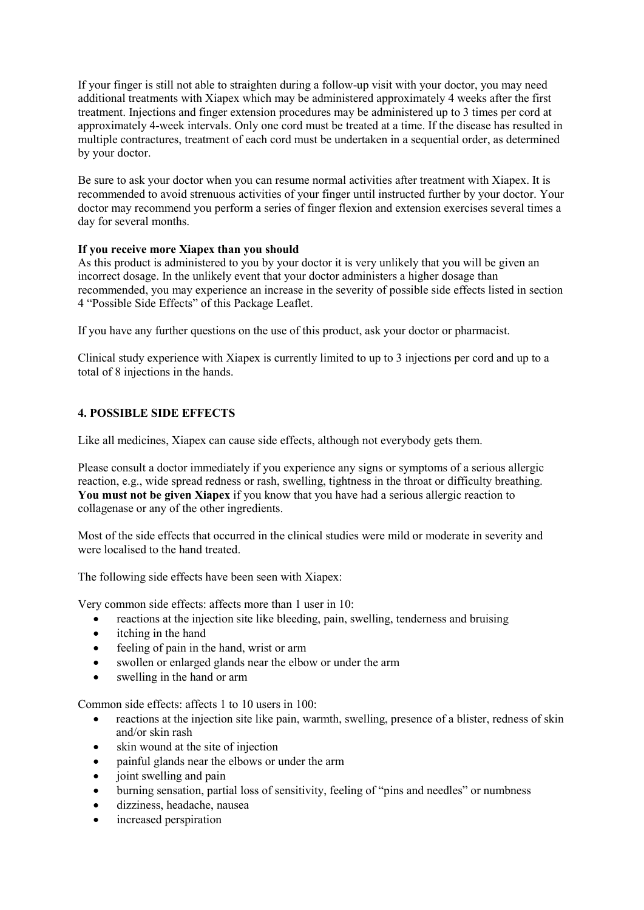If your finger is still not able to straighten during a follow-up visit with your doctor, you may need additional treatments with Xiapex which may be administered approximately 4 weeks after the first treatment. Injections and finger extension procedures may be administered up to 3 times per cord at approximately 4-week intervals. Only one cord must be treated at a time. If the disease has resulted in multiple contractures, treatment of each cord must be undertaken in a sequential order, as determined by your doctor.

Be sure to ask your doctor when you can resume normal activities after treatment with Xiapex. It is recommended to avoid strenuous activities of your finger until instructed further by your doctor. Your doctor may recommend you perform a series of finger flexion and extension exercises several times a day for several months.

# **If you receive more Xiapex than you should**

As this product is administered to you by your doctor it is very unlikely that you will be given an incorrect dosage. In the unlikely event that your doctor administers a higher dosage than recommended, you may experience an increase in the severity of possible side effects listed in section 4 "Possible Side Effects" of this Package Leaflet.

If you have any further questions on the use of this product, ask your doctor or pharmacist.

Clinical study experience with Xiapex is currently limited to up to 3 injections per cord and up to a total of 8 injections in the hands.

# **4. POSSIBLE SIDE EFFECTS**

Like all medicines, Xiapex can cause side effects, although not everybody gets them.

Please consult a doctor immediately if you experience any signs or symptoms of a serious allergic reaction, e.g., wide spread redness or rash, swelling, tightness in the throat or difficulty breathing. **You must not be given Xiapex** if you know that you have had a serious allergic reaction to collagenase or any of the other ingredients.

Most of the side effects that occurred in the clinical studies were mild or moderate in severity and were localised to the hand treated.

The following side effects have been seen with Xiapex:

Very common side effects: affects more than 1 user in 10:

- reactions at the injection site like bleeding, pain, swelling, tenderness and bruising
- itching in the hand
- feeling of pain in the hand, wrist or arm
- swollen or enlarged glands near the elbow or under the arm
- swelling in the hand or arm

Common side effects: affects 1 to 10 users in 100:

- reactions at the injection site like pain, warmth, swelling, presence of a blister, redness of skin and/or skin rash
- skin wound at the site of injection
- painful glands near the elbows or under the arm
- joint swelling and pain
- burning sensation, partial loss of sensitivity, feeling of "pins and needles" or numbness
- dizziness, headache, nausea
- increased perspiration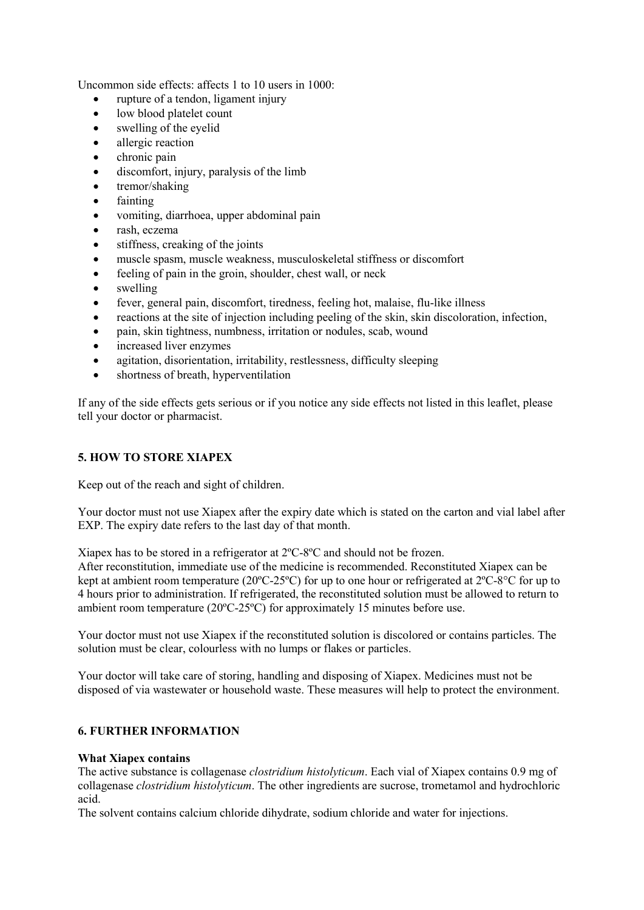Uncommon side effects: affects 1 to 10 users in 1000:

- rupture of a tendon, ligament injury
- low blood platelet count
- swelling of the eyelid
- allergic reaction
- chronic pain
- discomfort, injury, paralysis of the limb
- tremor/shaking
- fainting
- vomiting, diarrhoea, upper abdominal pain
- rash, eczema
- stiffness, creaking of the joints
- muscle spasm, muscle weakness, musculoskeletal stiffness or discomfort
- feeling of pain in the groin, shoulder, chest wall, or neck
- swelling
- fever, general pain, discomfort, tiredness, feeling hot, malaise, flu-like illness
- reactions at the site of injection including peeling of the skin, skin discoloration, infection,
- pain, skin tightness, numbness, irritation or nodules, scab, wound
- increased liver enzymes
- agitation, disorientation, irritability, restlessness, difficulty sleeping
- shortness of breath, hyperventilation

If any of the side effects gets serious or if you notice any side effects not listed in this leaflet, please tell your doctor or pharmacist.

# **5. HOW TO STORE XIAPEX**

Keep out of the reach and sight of children.

Your doctor must not use Xiapex after the expiry date which is stated on the carton and vial label after EXP. The expiry date refers to the last day of that month.

Xiapex has to be stored in a refrigerator at 2ºC-8ºC and should not be frozen.

After reconstitution, immediate use of the medicine is recommended. Reconstituted Xiapex can be kept at ambient room temperature (20ºC-25ºC) for up to one hour or refrigerated at 2ºC-8°C for up to 4 hours prior to administration. If refrigerated, the reconstituted solution must be allowed to return to ambient room temperature (20ºC-25ºC) for approximately 15 minutes before use.

Your doctor must not use Xiapex if the reconstituted solution is discolored or contains particles. The solution must be clear, colourless with no lumps or flakes or particles.

Your doctor will take care of storing, handling and disposing of Xiapex. Medicines must not be disposed of via wastewater or household waste. These measures will help to protect the environment.

# **6. FURTHER INFORMATION**

#### **What Xiapex contains**

The active substance is collagenase *clostridium histolyticum*. Each vial of Xiapex contains 0.9 mg of collagenase *clostridium histolyticum*. The other ingredients are sucrose, trometamol and hydrochloric acid.

The solvent contains calcium chloride dihydrate, sodium chloride and water for injections.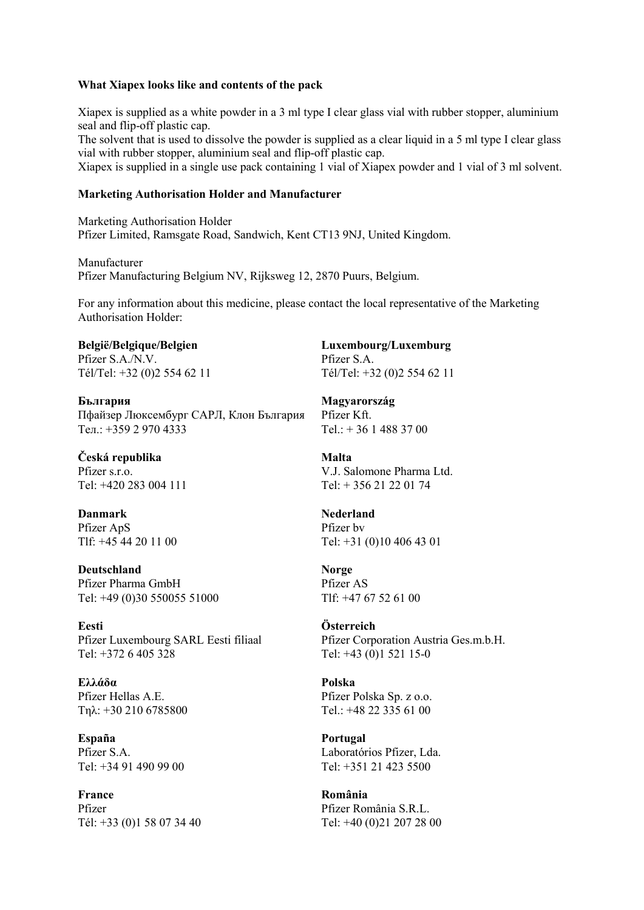#### **What Xiapex looks like and contents of the pack**

Xiapex is supplied as a white powder in a 3 ml type I clear glass vial with rubber stopper, aluminium seal and flip-off plastic cap.

The solvent that is used to dissolve the powder is supplied as a clear liquid in a 5 ml type I clear glass vial with rubber stopper, aluminium seal and flip-off plastic cap.

Xiapex is supplied in a single use pack containing 1 vial of Xiapex powder and 1 vial of 3 ml solvent.

#### **Marketing Authorisation Holder and Manufacturer**

Marketing Authorisation Holder Pfizer Limited, Ramsgate Road, Sandwich, Kent CT13 9NJ, United Kingdom.

Manufacturer Pfizer Manufacturing Belgium NV, Rijksweg 12, 2870 Puurs, Belgium.

For any information about this medicine, please contact the local representative of the Marketing Authorisation Holder:

**België/Belgique/Belgien Luxembourg/Luxemburg**  Pfizer S.A./N.V. Pfizer S.A. Tél/Tel: +32 (0)2 554 62 11 Tél/Tel: +32 (0)2 554 62 11

**България Magyarország**  Пфайзер Люксембург САРЛ, Клон България Pfizer Kft. Ten.:  $+35929704333$  Tel.:  $+3614883700$ 

**Česká republika** Malta

**Danmark** Nederland Pfizer ApS Pfizer by

**Deutschland Norge** Pfizer Pharma GmbH Pfizer AS Tel: +49 (0)30 550055 51000 Tlf: +47 67 52 61 00

**Eesti Österreich** Pfizer Luxembourg SARL Eesti filiaal Pfizer Corporation Austria Ges.m.b.H. Tel: +372 6 405 328 Tel: +43 (0)1 521 15-0

**Ελλάδα Polska**  Pfizer Hellas A.E. Pfizer Polska Sp. z o.o. Tn $\lambda$ : +30 210 6785800 Tel.: +48 22 335 61 00

**España Portugal**

**France România**  Pfizer Pfizer România S.R.L. Tél: +33 (0)1 58 07 34 40 Tel: +40 (0)21 207 28 00

Pfizer s.r.o. V.J. Salomone Pharma Ltd. Tel:  $+420\,283\,004\,111$  Tel:  $+356\,21\,22\,01\,74$ 

Tlf:  $+45,44,20,11,00$  Tel:  $+31,00,10,406,43,01$ 

Pfizer S.A. Laboratórios Pfizer, Lda. Tel: +34 91 490 99 00 Tel: +351 21 423 5500